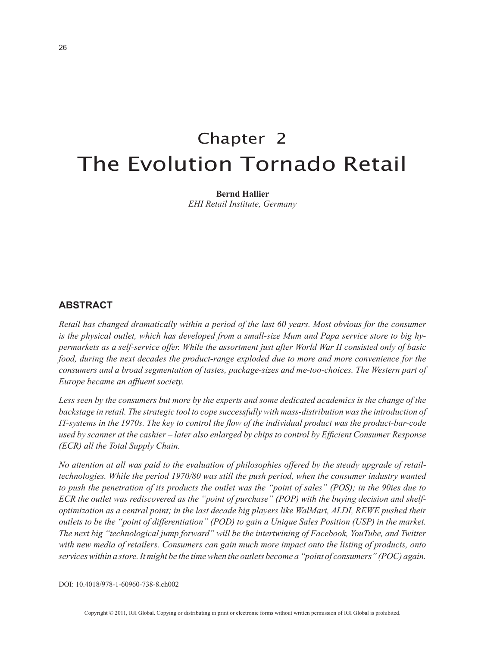# Chapter 2 The Evolution Tornado Retail

**Bernd Hallier** *EHI Retail Institute, Germany*

## **ABSTRACT**

*Retail has changed dramatically within a period of the last 60 years. Most obvious for the consumer is the physical outlet, which has developed from a small-size Mum and Papa service store to big hypermarkets as a self-service offer. While the assortment just after World War II consisted only of basic food, during the next decades the product-range exploded due to more and more convenience for the consumers and a broad segmentation of tastes, package-sizes and me-too-choices. The Western part of Europe became an affluent society.*

Less seen by the consumers but more by the experts and some dedicated academics is the change of the *backstage in retail. The strategic tool to cope successfully with mass-distribution was the introduction of IT-systems in the 1970s. The key to control the flow of the individual product was the product-bar-code used by scanner at the cashier – later also enlarged by chips to control by Efficient Consumer Response (ECR) all the Total Supply Chain.*

*No attention at all was paid to the evaluation of philosophies offered by the steady upgrade of retailtechnologies. While the period 1970/80 was still the push period, when the consumer industry wanted to push the penetration of its products the outlet was the "point of sales" (POS); in the 90ies due to ECR the outlet was rediscovered as the "point of purchase" (POP) with the buying decision and shelfoptimization as a central point; in the last decade big players like WalMart, ALDI, REWE pushed their outlets to be the "point of differentiation" (POD) to gain a Unique Sales Position (USP) in the market. The next big "technological jump forward" will be the intertwining of Facebook, YouTube, and Twitter with new media of retailers. Consumers can gain much more impact onto the listing of products, onto services within a store. It might be the time when the outlets become a "point of consumers" (POC) again.*

DOI: 10.4018/978-1-60960-738-8.ch002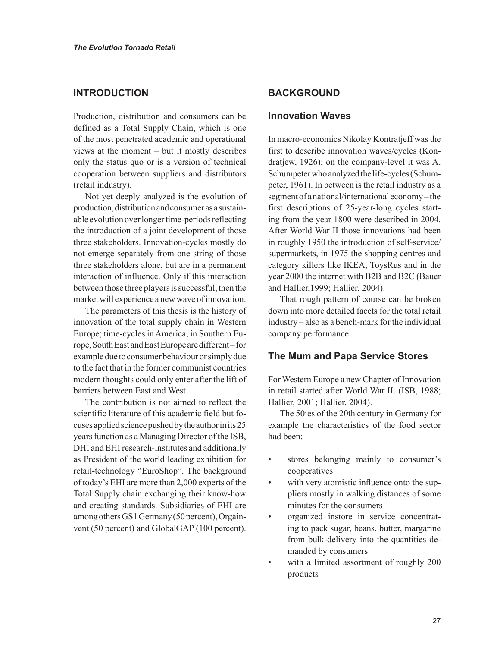# **INTRODUCTION**

Production, distribution and consumers can be defined as a Total Supply Chain, which is one of the most penetrated academic and operational views at the moment – but it mostly describes only the status quo or is a version of technical cooperation between suppliers and distributors (retail industry).

Not yet deeply analyzed is the evolution of production, distribution and consumer as a sustainable evolution over longer time-periods reflecting the introduction of a joint development of those three stakeholders. Innovation-cycles mostly do not emerge separately from one string of those three stakeholders alone, but are in a permanent interaction of influence. Only if this interaction between those three players is successful, then the market will experience a new wave of innovation.

The parameters of this thesis is the history of innovation of the total supply chain in Western Europe; time-cycles in America, in Southern Europe, South East and East Europe are different – for example due to consumer behaviour or simply due to the fact that in the former communist countries modern thoughts could only enter after the lift of barriers between East and West.

The contribution is not aimed to reflect the scientific literature of this academic field but focuses applied science pushed by the author in its 25 years function as a Managing Director of the ISB, DHI and EHI research-institutes and additionally as President of the world leading exhibition for retail-technology "EuroShop". The background of today's EHI are more than 2,000 experts of the Total Supply chain exchanging their know-how and creating standards. Subsidiaries of EHI are among others GS1 Germany (50 percent), Orgainvent (50 percent) and GlobalGAP (100 percent).

# **BACKGROUND**

## **Innovation Waves**

In macro-economics Nikolay Kontratjeff was the first to describe innovation waves/cycles (Kondratjew, 1926); on the company-level it was A. Schumpeter who analyzed the life-cycles (Schumpeter, 1961). In between is the retail industry as a segment of a national/international economy – the first descriptions of 25-year-long cycles starting from the year 1800 were described in 2004. After World War II those innovations had been in roughly 1950 the introduction of self-service/ supermarkets, in 1975 the shopping centres and category killers like IKEA, ToysRus and in the year 2000 the internet with B2B and B2C (Bauer and Hallier,1999; Hallier, 2004).

That rough pattern of course can be broken down into more detailed facets for the total retail industry – also as a bench-mark for the individual company performance.

## **The Mum and Papa Service Stores**

For Western Europe a new Chapter of Innovation in retail started after World War II. (ISB, 1988; Hallier, 2001; Hallier, 2004).

The 50ies of the 20th century in Germany for example the characteristics of the food sector had been:

- stores belonging mainly to consumer's cooperatives
- with very atomistic influence onto the suppliers mostly in walking distances of some minutes for the consumers
- organized instore in service concentrating to pack sugar, beans, butter, margarine from bulk-delivery into the quantities demanded by consumers
- with a limited assortment of roughly 200 products